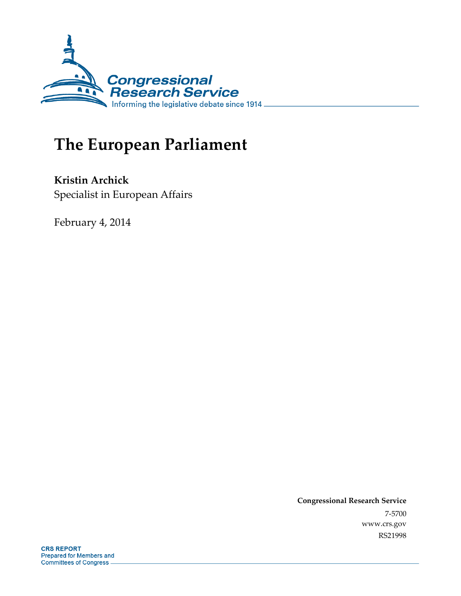

# **The European Parliament**

**Kristin Archick**  Specialist in European Affairs

February 4, 2014

**Congressional Research Service**  7-5700 www.crs.gov RS21998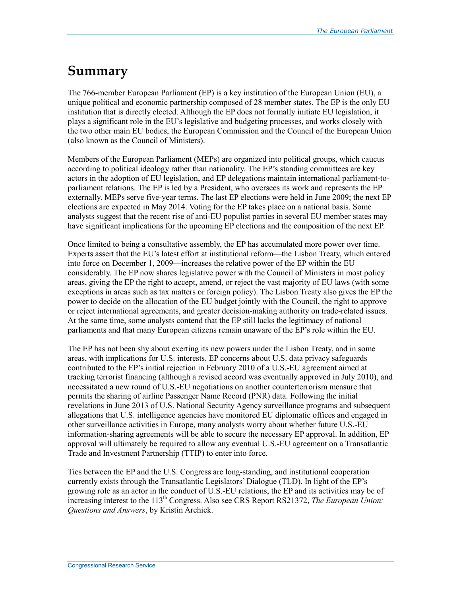## **Summary**

The 766-member European Parliament (EP) is a key institution of the European Union (EU), a unique political and economic partnership composed of 28 member states. The EP is the only EU institution that is directly elected. Although the EP does not formally initiate EU legislation, it plays a significant role in the EU's legislative and budgeting processes, and works closely with the two other main EU bodies, the European Commission and the Council of the European Union (also known as the Council of Ministers).

Members of the European Parliament (MEPs) are organized into political groups, which caucus according to political ideology rather than nationality. The EP's standing committees are key actors in the adoption of EU legislation, and EP delegations maintain international parliament-toparliament relations. The EP is led by a President, who oversees its work and represents the EP externally. MEPs serve five-year terms. The last EP elections were held in June 2009; the next EP elections are expected in May 2014. Voting for the EP takes place on a national basis. Some analysts suggest that the recent rise of anti-EU populist parties in several EU member states may have significant implications for the upcoming EP elections and the composition of the next EP.

Once limited to being a consultative assembly, the EP has accumulated more power over time. Experts assert that the EU's latest effort at institutional reform—the Lisbon Treaty, which entered into force on December 1, 2009—increases the relative power of the EP within the EU considerably. The EP now shares legislative power with the Council of Ministers in most policy areas, giving the EP the right to accept, amend, or reject the vast majority of EU laws (with some exceptions in areas such as tax matters or foreign policy). The Lisbon Treaty also gives the EP the power to decide on the allocation of the EU budget jointly with the Council, the right to approve or reject international agreements, and greater decision-making authority on trade-related issues. At the same time, some analysts contend that the EP still lacks the legitimacy of national parliaments and that many European citizens remain unaware of the EP's role within the EU.

The EP has not been shy about exerting its new powers under the Lisbon Treaty, and in some areas, with implications for U.S. interests. EP concerns about U.S. data privacy safeguards contributed to the EP's initial rejection in February 2010 of a U.S.-EU agreement aimed at tracking terrorist financing (although a revised accord was eventually approved in July 2010), and necessitated a new round of U.S.-EU negotiations on another counterterrorism measure that permits the sharing of airline Passenger Name Record (PNR) data. Following the initial revelations in June 2013 of U.S. National Security Agency surveillance programs and subsequent allegations that U.S. intelligence agencies have monitored EU diplomatic offices and engaged in other surveillance activities in Europe, many analysts worry about whether future U.S.-EU information-sharing agreements will be able to secure the necessary EP approval. In addition, EP approval will ultimately be required to allow any eventual U.S.-EU agreement on a Transatlantic Trade and Investment Partnership (TTIP) to enter into force.

Ties between the EP and the U.S. Congress are long-standing, and institutional cooperation currently exists through the Transatlantic Legislators' Dialogue (TLD). In light of the EP's growing role as an actor in the conduct of U.S.-EU relations, the EP and its activities may be of increasing interest to the 113<sup>th</sup> Congress. Also see CRS Report RS21372, *The European Union: Questions and Answers*, by Kristin Archick.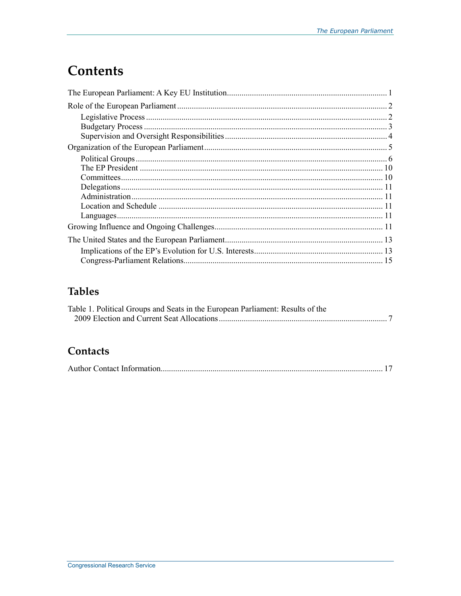## **Contents**

## **Tables**

| Table 1. Political Groups and Seats in the European Parliament: Results of the |  |
|--------------------------------------------------------------------------------|--|
|                                                                                |  |

## Contacts

|--|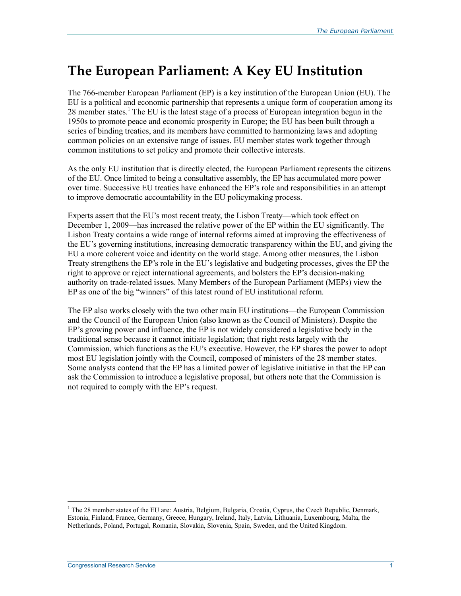## **The European Parliament: A Key EU Institution**

The 766-member European Parliament (EP) is a key institution of the European Union (EU). The EU is a political and economic partnership that represents a unique form of cooperation among its 28 member states.<sup>1</sup> The EU is the latest stage of a process of European integration begun in the 1950s to promote peace and economic prosperity in Europe; the EU has been built through a series of binding treaties, and its members have committed to harmonizing laws and adopting common policies on an extensive range of issues. EU member states work together through common institutions to set policy and promote their collective interests.

As the only EU institution that is directly elected, the European Parliament represents the citizens of the EU. Once limited to being a consultative assembly, the EP has accumulated more power over time. Successive EU treaties have enhanced the EP's role and responsibilities in an attempt to improve democratic accountability in the EU policymaking process.

Experts assert that the EU's most recent treaty, the Lisbon Treaty—which took effect on December 1, 2009—has increased the relative power of the EP within the EU significantly. The Lisbon Treaty contains a wide range of internal reforms aimed at improving the effectiveness of the EU's governing institutions, increasing democratic transparency within the EU, and giving the EU a more coherent voice and identity on the world stage. Among other measures, the Lisbon Treaty strengthens the EP's role in the EU's legislative and budgeting processes, gives the EP the right to approve or reject international agreements, and bolsters the EP's decision-making authority on trade-related issues. Many Members of the European Parliament (MEPs) view the EP as one of the big "winners" of this latest round of EU institutional reform.

The EP also works closely with the two other main EU institutions—the European Commission and the Council of the European Union (also known as the Council of Ministers). Despite the EP's growing power and influence, the EP is not widely considered a legislative body in the traditional sense because it cannot initiate legislation; that right rests largely with the Commission, which functions as the EU's executive. However, the EP shares the power to adopt most EU legislation jointly with the Council, composed of ministers of the 28 member states. Some analysts contend that the EP has a limited power of legislative initiative in that the EP can ask the Commission to introduce a legislative proposal, but others note that the Commission is not required to comply with the EP's request.

<sup>&</sup>lt;sup>1</sup> The 28 member states of the EU are: Austria, Belgium, Bulgaria, Croatia, Cyprus, the Czech Republic, Denmark, Estonia, Finland, France, Germany, Greece, Hungary, Ireland, Italy, Latvia, Lithuania, Luxembourg, Malta, the Netherlands, Poland, Portugal, Romania, Slovakia, Slovenia, Spain, Sweden, and the United Kingdom.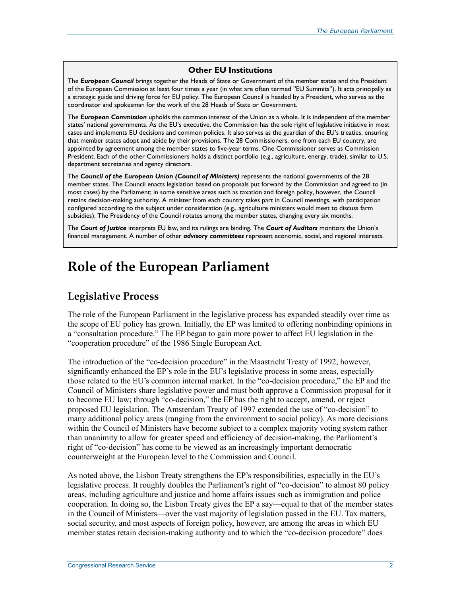#### **Other EU Institutions**

The *European Council* brings together the Heads of State or Government of the member states and the President of the European Commission at least four times a year (in what are often termed "EU Summits"). It acts principally as a strategic guide and driving force for EU policy. The European Council is headed by a President, who serves as the coordinator and spokesman for the work of the 28 Heads of State or Government.

The *European Commission* upholds the common interest of the Union as a whole. It is independent of the member states' national governments. As the EU's executive, the Commission has the sole right of legislative initiative in most cases and implements EU decisions and common policies. It also serves as the guardian of the EU's treaties, ensuring that member states adopt and abide by their provisions. The 28 Commissioners, one from each EU country, are appointed by agreement among the member states to five-year terms. One Commissioner serves as Commission President. Each of the other Commissioners holds a distinct portfolio (e.g., agriculture, energy, trade), similar to U.S. department secretaries and agency directors.

The *Council of the European Union (Council of Ministers)* represents the national governments of the 28 member states. The Council enacts legislation based on proposals put forward by the Commission and agreed to (in most cases) by the Parliament; in some sensitive areas such as taxation and foreign policy, however, the Council retains decision-making authority. A minister from each country takes part in Council meetings, with participation configured according to the subject under consideration (e.g., agriculture ministers would meet to discuss farm subsidies). The Presidency of the Council rotates among the member states, changing every six months.

The *Court of Justice* interprets EU law, and its rulings are binding. The *Court of Auditors* monitors the Union's financial management. A number of other *advisory committees* represent economic, social, and regional interests.

## **Role of the European Parliament**

### **Legislative Process**

The role of the European Parliament in the legislative process has expanded steadily over time as the scope of EU policy has grown. Initially, the EP was limited to offering nonbinding opinions in a "consultation procedure." The EP began to gain more power to affect EU legislation in the "cooperation procedure" of the 1986 Single European Act.

The introduction of the "co-decision procedure" in the Maastricht Treaty of 1992, however, significantly enhanced the EP's role in the EU's legislative process in some areas, especially those related to the EU's common internal market. In the "co-decision procedure," the EP and the Council of Ministers share legislative power and must both approve a Commission proposal for it to become EU law; through "co-decision," the EP has the right to accept, amend, or reject proposed EU legislation. The Amsterdam Treaty of 1997 extended the use of "co-decision" to many additional policy areas (ranging from the environment to social policy). As more decisions within the Council of Ministers have become subject to a complex majority voting system rather than unanimity to allow for greater speed and efficiency of decision-making, the Parliament's right of "co-decision" has come to be viewed as an increasingly important democratic counterweight at the European level to the Commission and Council.

As noted above, the Lisbon Treaty strengthens the EP's responsibilities, especially in the EU's legislative process. It roughly doubles the Parliament's right of "co-decision" to almost 80 policy areas, including agriculture and justice and home affairs issues such as immigration and police cooperation. In doing so, the Lisbon Treaty gives the EP a say—equal to that of the member states in the Council of Ministers—over the vast majority of legislation passed in the EU. Tax matters, social security, and most aspects of foreign policy, however, are among the areas in which EU member states retain decision-making authority and to which the "co-decision procedure" does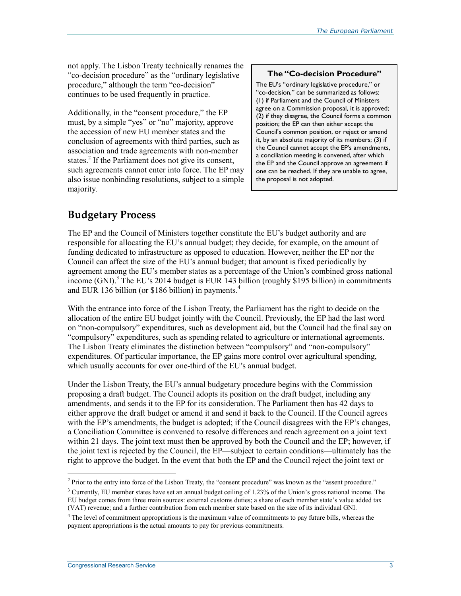not apply. The Lisbon Treaty technically renames the "co-decision procedure" as the "ordinary legislative procedure," although the term "co-decision" continues to be used frequently in practice.

Additionally, in the "consent procedure," the EP must, by a simple "yes" or "no" majority, approve the accession of new EU member states and the conclusion of agreements with third parties, such as association and trade agreements with non-member states.<sup>2</sup> If the Parliament does not give its consent, such agreements cannot enter into force. The EP may also issue nonbinding resolutions, subject to a simple majority.

#### **The "Co-decision Procedure"**

The EU's "ordinary legislative procedure," or "co-decision," can be summarized as follows: (1) if Parliament and the Council of Ministers agree on a Commission proposal, it is approved; (2) if they disagree, the Council forms a common position; the EP can then either accept the Council's common position, or reject or amend it, by an absolute majority of its members; (3) if the Council cannot accept the EP's amendments, a conciliation meeting is convened, after which the EP and the Council approve an agreement if one can be reached. If they are unable to agree, the proposal is not adopted.

## **Budgetary Process**

The EP and the Council of Ministers together constitute the EU's budget authority and are responsible for allocating the EU's annual budget; they decide, for example, on the amount of funding dedicated to infrastructure as opposed to education. However, neither the EP nor the Council can affect the size of the EU's annual budget; that amount is fixed periodically by agreement among the EU's member states as a percentage of the Union's combined gross national income (GNI).<sup>3</sup> The EU's 2014 budget is EUR 143 billion (roughly \$195 billion) in commitments and EUR 136 billion (or \$186 billion) in payments.<sup>4</sup>

With the entrance into force of the Lisbon Treaty, the Parliament has the right to decide on the allocation of the entire EU budget jointly with the Council. Previously, the EP had the last word on "non-compulsory" expenditures, such as development aid, but the Council had the final say on "compulsory" expenditures, such as spending related to agriculture or international agreements. The Lisbon Treaty eliminates the distinction between "compulsory" and "non-compulsory" expenditures. Of particular importance, the EP gains more control over agricultural spending, which usually accounts for over one-third of the EU's annual budget.

Under the Lisbon Treaty, the EU's annual budgetary procedure begins with the Commission proposing a draft budget. The Council adopts its position on the draft budget, including any amendments, and sends it to the EP for its consideration. The Parliament then has 42 days to either approve the draft budget or amend it and send it back to the Council. If the Council agrees with the EP's amendments, the budget is adopted; if the Council disagrees with the EP's changes, a Conciliation Committee is convened to resolve differences and reach agreement on a joint text within 21 days. The joint text must then be approved by both the Council and the EP; however, if the joint text is rejected by the Council, the EP—subject to certain conditions—ultimately has the right to approve the budget. In the event that both the EP and the Council reject the joint text or

<sup>&</sup>lt;sup>2</sup> Prior to the entry into force of the Lisbon Treaty, the "consent procedure" was known as the "assent procedure."

<sup>&</sup>lt;sup>3</sup> Currently, EU member states have set an annual budget ceiling of 1.23% of the Union's gross national income. The EU budget comes from three main sources: external customs duties; a share of each member state's value added tax (VAT) revenue; and a further contribution from each member state based on the size of its individual GNI.

<sup>&</sup>lt;sup>4</sup> The level of commitment appropriations is the maximum value of commitments to pay future bills, whereas the payment appropriations is the actual amounts to pay for previous commitments.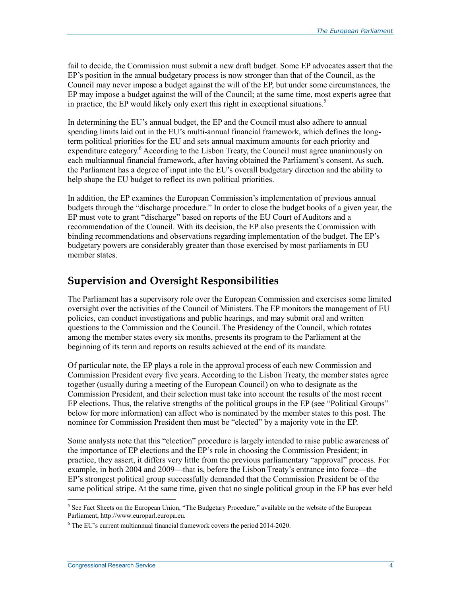fail to decide, the Commission must submit a new draft budget. Some EP advocates assert that the EP's position in the annual budgetary process is now stronger than that of the Council, as the Council may never impose a budget against the will of the EP, but under some circumstances, the EP may impose a budget against the will of the Council; at the same time, most experts agree that in practice, the EP would likely only exert this right in exceptional situations.<sup>5</sup>

In determining the EU's annual budget, the EP and the Council must also adhere to annual spending limits laid out in the EU's multi-annual financial framework, which defines the longterm political priorities for the EU and sets annual maximum amounts for each priority and expenditure category.<sup>6</sup> According to the Lisbon Treaty, the Council must agree unanimously on each multiannual financial framework, after having obtained the Parliament's consent. As such, the Parliament has a degree of input into the EU's overall budgetary direction and the ability to help shape the EU budget to reflect its own political priorities.

In addition, the EP examines the European Commission's implementation of previous annual budgets through the "discharge procedure." In order to close the budget books of a given year, the EP must vote to grant "discharge" based on reports of the EU Court of Auditors and a recommendation of the Council. With its decision, the EP also presents the Commission with binding recommendations and observations regarding implementation of the budget. The EP's budgetary powers are considerably greater than those exercised by most parliaments in EU member states.

### **Supervision and Oversight Responsibilities**

The Parliament has a supervisory role over the European Commission and exercises some limited oversight over the activities of the Council of Ministers. The EP monitors the management of EU policies, can conduct investigations and public hearings, and may submit oral and written questions to the Commission and the Council. The Presidency of the Council, which rotates among the member states every six months, presents its program to the Parliament at the beginning of its term and reports on results achieved at the end of its mandate.

Of particular note, the EP plays a role in the approval process of each new Commission and Commission President every five years. According to the Lisbon Treaty, the member states agree together (usually during a meeting of the European Council) on who to designate as the Commission President, and their selection must take into account the results of the most recent EP elections. Thus, the relative strengths of the political groups in the EP (see "Political Groups" below for more information) can affect who is nominated by the member states to this post. The nominee for Commission President then must be "elected" by a majority vote in the EP.

Some analysts note that this "election" procedure is largely intended to raise public awareness of the importance of EP elections and the EP's role in choosing the Commission President; in practice, they assert, it differs very little from the previous parliamentary "approval" process. For example, in both 2004 and 2009—that is, before the Lisbon Treaty's entrance into force—the EP's strongest political group successfully demanded that the Commission President be of the same political stripe. At the same time, given that no single political group in the EP has ever held

<sup>&</sup>lt;sup>5</sup> See Fact Sheets on the European Union, "The Budgetary Procedure," available on the website of the European Parliament, http://www.europarl.europa.eu.

<sup>&</sup>lt;sup>6</sup> The EU's current multiannual financial framework covers the period 2014-2020.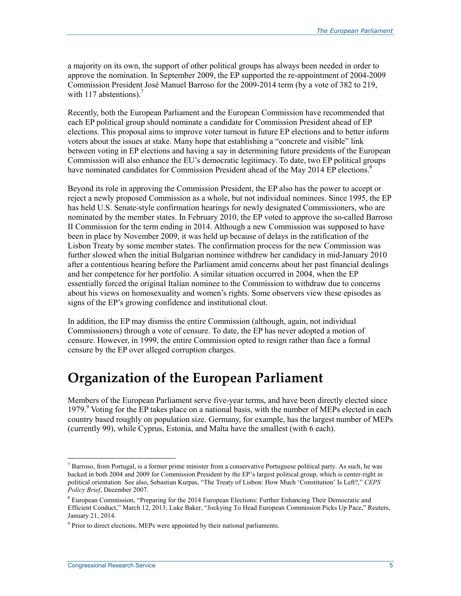a majority on its own, the support of other political groups has always been needed in order to approve the nomination. In September 2009, the EP supported the re-appointment of 2004-2009 Commission President José Manuel Barroso for the 2009-2014 term (by a vote of 382 to 219, with  $117$  abstentions).

Recently, both the European Parliament and the European Commission have recommended that each EP political group should nominate a candidate for Commission President ahead of EP elections. This proposal aims to improve voter turnout in future EP elections and to better inform voters about the issues at stake. Many hope that establishing a "concrete and visible" link between voting in EP elections and having a say in determining future presidents of the European Commission will also enhance the EU's democratic legitimacy. To date, two EP political groups have nominated candidates for Commission President ahead of the May 2014 EP elections.<sup>8</sup>

Beyond its role in approving the Commission President, the EP also has the power to accept or reject a newly proposed Commission as a whole, but not individual nominees. Since 1995, the EP has held U.S. Senate-style confirmation hearings for newly designated Commissioners, who are nominated by the member states. In February 2010, the EP voted to approve the so-called Barroso II Commission for the term ending in 2014. Although a new Commission was supposed to have been in place by November 2009, it was held up because of delays in the ratification of the Lisbon Treaty by some member states. The confirmation process for the new Commission was further slowed when the initial Bulgarian nominee withdrew her candidacy in mid-January 2010 after a contentious hearing before the Parliament amid concerns about her past financial dealings and her competence for her portfolio. A similar situation occurred in 2004, when the EP essentially forced the original Italian nominee to the Commission to withdraw due to concerns about his views on homosexuality and women's rights. Some observers view these episodes as signs of the EP's growing confidence and institutional clout.

In addition, the EP may dismiss the entire Commission (although, again, not individual Commissioners) through a vote of censure. To date, the EP has never adopted a motion of censure. However, in 1999, the entire Commission opted to resign rather than face a formal censure by the EP over alleged corruption charges.

## **Organization of the European Parliament**

Members of the European Parliament serve five-year terms, and have been directly elected since 1979.<sup>9</sup> Voting for the EP takes place on a national basis, with the number of MEPs elected in each country based roughly on population size. Germany, for example, has the largest number of MEPs (currently 99), while Cyprus, Estonia, and Malta have the smallest (with 6 each).

 $<sup>7</sup>$  Barroso, from Portugal, is a former prime minister from a conservative Portuguese political party. As such, he was</sup> backed in both 2004 and 2009 for Commission President by the EP's largest political group, which is center-right in political orientation. See also, Sebastian Kurpas, "The Treaty of Lisbon: How Much 'Constitution' Is Left?," *CEPS Policy Brief*, December 2007.

<sup>&</sup>lt;sup>8</sup> European Commission, "Preparing for the 2014 European Elections: Further Enhancing Their Democratic and Efficient Conduct," March 12, 2013; Luke Baker, "Jockying To Head European Commission Picks Up Pace," Reuters, January 21, 2014.

<sup>&</sup>lt;sup>9</sup> Prior to direct elections, MEPs were appointed by their national parliaments.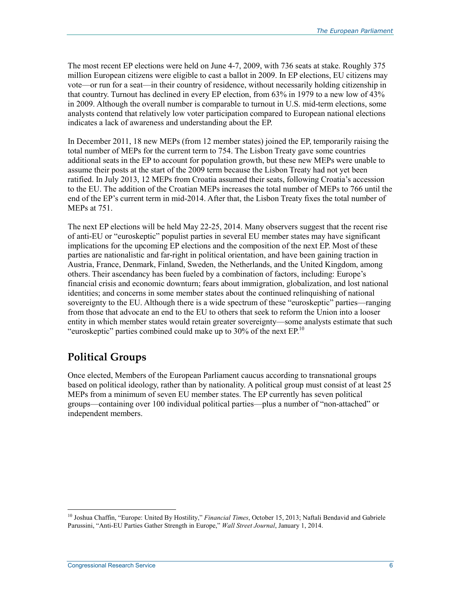The most recent EP elections were held on June 4-7, 2009, with 736 seats at stake. Roughly 375 million European citizens were eligible to cast a ballot in 2009. In EP elections, EU citizens may vote—or run for a seat—in their country of residence, without necessarily holding citizenship in that country. Turnout has declined in every EP election, from 63% in 1979 to a new low of 43% in 2009. Although the overall number is comparable to turnout in U.S. mid-term elections, some analysts contend that relatively low voter participation compared to European national elections indicates a lack of awareness and understanding about the EP.

In December 2011, 18 new MEPs (from 12 member states) joined the EP, temporarily raising the total number of MEPs for the current term to 754. The Lisbon Treaty gave some countries additional seats in the EP to account for population growth, but these new MEPs were unable to assume their posts at the start of the 2009 term because the Lisbon Treaty had not yet been ratified. In July 2013, 12 MEPs from Croatia assumed their seats, following Croatia's accession to the EU. The addition of the Croatian MEPs increases the total number of MEPs to 766 until the end of the EP's current term in mid-2014. After that, the Lisbon Treaty fixes the total number of MEPs at 751.

The next EP elections will be held May 22-25, 2014. Many observers suggest that the recent rise of anti-EU or "euroskeptic" populist parties in several EU member states may have significant implications for the upcoming EP elections and the composition of the next EP. Most of these parties are nationalistic and far-right in political orientation, and have been gaining traction in Austria, France, Denmark, Finland, Sweden, the Netherlands, and the United Kingdom, among others. Their ascendancy has been fueled by a combination of factors, including: Europe's financial crisis and economic downturn; fears about immigration, globalization, and lost national identities; and concerns in some member states about the continued relinquishing of national sovereignty to the EU. Although there is a wide spectrum of these "euroskeptic" parties—ranging from those that advocate an end to the EU to others that seek to reform the Union into a looser entity in which member states would retain greater sovereignty—some analysts estimate that such "euroskeptic" parties combined could make up to 30% of the next  $EP<sup>10</sup>$ 

## **Political Groups**

Once elected, Members of the European Parliament caucus according to transnational groups based on political ideology, rather than by nationality. A political group must consist of at least 25 MEPs from a minimum of seven EU member states. The EP currently has seven political groups—containing over 100 individual political parties—plus a number of "non-attached" or independent members.

<sup>10</sup> Joshua Chaffin, "Europe: United By Hostility," *Financial Times*, October 15, 2013; Naftali Bendavid and Gabriele Parussini, "Anti-EU Parties Gather Strength in Europe," *Wall Street Journal*, January 1, 2014.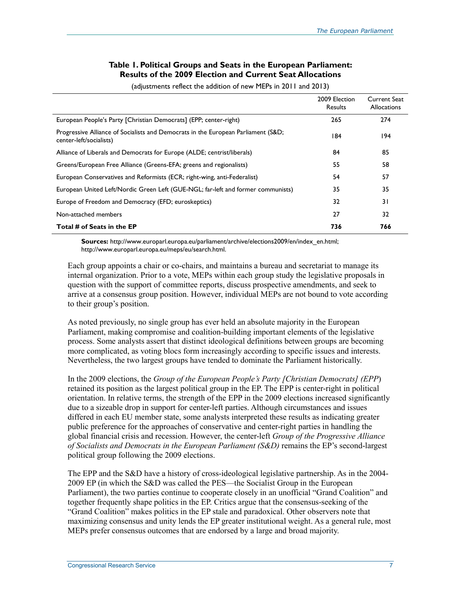#### **Table 1. Political Groups and Seats in the European Parliament: Results of the 2009 Election and Current Seat Allocations**

| 2009 Election<br>Results | <b>Current Seat</b><br><b>Allocations</b> |
|--------------------------|-------------------------------------------|
| 265                      | 274                                       |
| 184                      | 194                                       |
|                          |                                           |

Alliance of Liberals and Democrats for Europe (ALDE; centrist/liberals) 84 85 Greens/European Free Alliance (Greens-EFA; greens and regionalists) 55 58 58 European Conservatives and Reformists (ECR; right-wing, anti-Federalist) 54 57 European United Left/Nordic Green Left (GUE-NGL; far-left and former communists) 35 35 Europe of Freedom and Democracy (EFD; euroskeptics) 32 31 Non-attached members 27 32 **Total # of Seats in the EP 736 766** 

(adjustments reflect the addition of new MEPs in 2011 and 2013)

**Sources:** http://www.europarl.europa.eu/parliament/archive/elections2009/en/index\_en.html; http://www.europarl.europa.eu/meps/eu/search.html.

Each group appoints a chair or co-chairs, and maintains a bureau and secretariat to manage its internal organization. Prior to a vote, MEPs within each group study the legislative proposals in question with the support of committee reports, discuss prospective amendments, and seek to arrive at a consensus group position. However, individual MEPs are not bound to vote according to their group's position.

As noted previously, no single group has ever held an absolute majority in the European Parliament, making compromise and coalition-building important elements of the legislative process. Some analysts assert that distinct ideological definitions between groups are becoming more complicated, as voting blocs form increasingly according to specific issues and interests. Nevertheless, the two largest groups have tended to dominate the Parliament historically.

In the 2009 elections, the *Group of the European People's Party [Christian Democrats] (EPP*) retained its position as the largest political group in the EP. The EPP is center-right in political orientation. In relative terms, the strength of the EPP in the 2009 elections increased significantly due to a sizeable drop in support for center-left parties. Although circumstances and issues differed in each EU member state, some analysts interpreted these results as indicating greater public preference for the approaches of conservative and center-right parties in handling the global financial crisis and recession. However, the center-left *Group of the Progressive Alliance of Socialists and Democrats in the European Parliament (S&D)* remains the EP's second-largest political group following the 2009 elections.

The EPP and the S&D have a history of cross-ideological legislative partnership. As in the 2004- 2009 EP (in which the S&D was called the PES—the Socialist Group in the European Parliament), the two parties continue to cooperate closely in an unofficial "Grand Coalition" and together frequently shape politics in the EP. Critics argue that the consensus-seeking of the "Grand Coalition" makes politics in the EP stale and paradoxical. Other observers note that maximizing consensus and unity lends the EP greater institutional weight. As a general rule, most MEPs prefer consensus outcomes that are endorsed by a large and broad majority.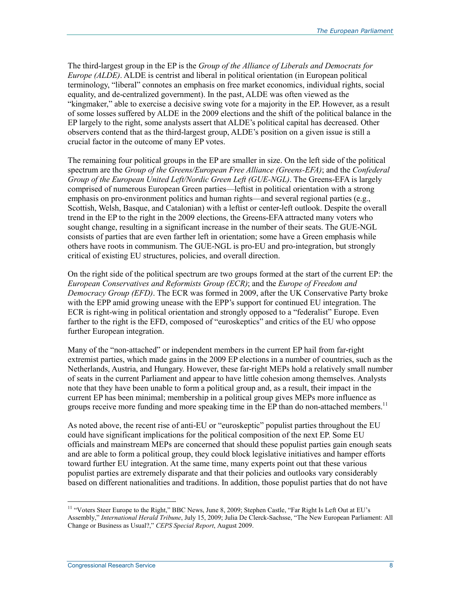The third-largest group in the EP is the *Group of the Alliance of Liberals and Democrats for Europe (ALDE)*. ALDE is centrist and liberal in political orientation (in European political terminology, "liberal" connotes an emphasis on free market economics, individual rights, social equality, and de-centralized government). In the past, ALDE was often viewed as the "kingmaker," able to exercise a decisive swing vote for a majority in the EP. However, as a result of some losses suffered by ALDE in the 2009 elections and the shift of the political balance in the EP largely to the right, some analysts assert that ALDE's political capital has decreased. Other observers contend that as the third-largest group, ALDE's position on a given issue is still a crucial factor in the outcome of many EP votes.

The remaining four political groups in the EP are smaller in size. On the left side of the political spectrum are the *Group of the Greens/European Free Alliance (Greens-EFA)*; and the *Confederal Group of the European United Left/Nordic Green Left (GUE-NGL)*. The Greens-EFA is largely comprised of numerous European Green parties—leftist in political orientation with a strong emphasis on pro-environment politics and human rights—and several regional parties (e.g., Scottish, Welsh, Basque, and Catalonian) with a leftist or center-left outlook. Despite the overall trend in the EP to the right in the 2009 elections, the Greens-EFA attracted many voters who sought change, resulting in a significant increase in the number of their seats. The GUE-NGL consists of parties that are even farther left in orientation; some have a Green emphasis while others have roots in communism. The GUE-NGL is pro-EU and pro-integration, but strongly critical of existing EU structures, policies, and overall direction.

On the right side of the political spectrum are two groups formed at the start of the current EP: the *European Conservatives and Reformists Group (ECR)*; and the *Europe of Freedom and Democracy Group (EFD)*. The ECR was formed in 2009, after the UK Conservative Party broke with the EPP amid growing unease with the EPP's support for continued EU integration. The ECR is right-wing in political orientation and strongly opposed to a "federalist" Europe. Even farther to the right is the EFD, composed of "euroskeptics" and critics of the EU who oppose further European integration.

Many of the "non-attached" or independent members in the current EP hail from far-right extremist parties, which made gains in the 2009 EP elections in a number of countries, such as the Netherlands, Austria, and Hungary. However, these far-right MEPs hold a relatively small number of seats in the current Parliament and appear to have little cohesion among themselves. Analysts note that they have been unable to form a political group and, as a result, their impact in the current EP has been minimal; membership in a political group gives MEPs more influence as groups receive more funding and more speaking time in the EP than do non-attached members.<sup>11</sup>

As noted above, the recent rise of anti-EU or "euroskeptic" populist parties throughout the EU could have significant implications for the political composition of the next EP. Some EU officials and mainstream MEPs are concerned that should these populist parties gain enough seats and are able to form a political group, they could block legislative initiatives and hamper efforts toward further EU integration. At the same time, many experts point out that these various populist parties are extremely disparate and that their policies and outlooks vary considerably based on different nationalities and traditions. In addition, those populist parties that do not have

<sup>&</sup>lt;sup>11</sup> "Voters Steer Europe to the Right," BBC News, June 8, 2009; Stephen Castle, "Far Right Is Left Out at EU's Assembly," *International Herald Tribune*, July 15, 2009; Julia De Clerck-Sachsse, "The New European Parliament: All Change or Business as Usual?," *CEPS Special Report*, August 2009.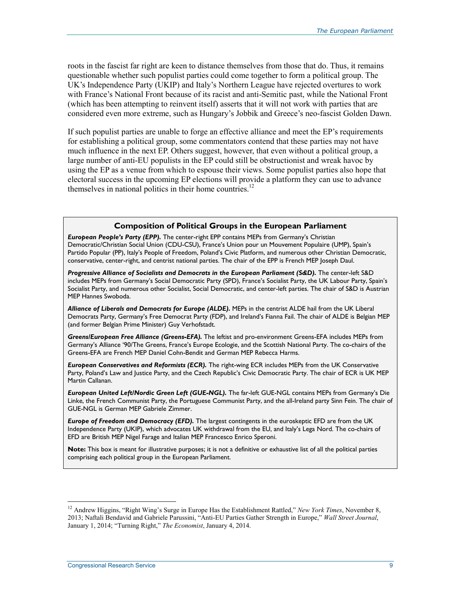roots in the fascist far right are keen to distance themselves from those that do. Thus, it remains questionable whether such populist parties could come together to form a political group. The UK's Independence Party (UKIP) and Italy's Northern League have rejected overtures to work with France's National Front because of its racist and anti-Semitic past, while the National Front (which has been attempting to reinvent itself) asserts that it will not work with parties that are considered even more extreme, such as Hungary's Jobbik and Greece's neo-fascist Golden Dawn.

If such populist parties are unable to forge an effective alliance and meet the EP's requirements for establishing a political group, some commentators contend that these parties may not have much influence in the next EP. Others suggest, however, that even without a political group, a large number of anti-EU populists in the EP could still be obstructionist and wreak havoc by using the EP as a venue from which to espouse their views. Some populist parties also hope that electoral success in the upcoming EP elections will provide a platform they can use to advance themselves in national politics in their home countries.<sup>12</sup>

#### **Composition of Political Groups in the European Parliament**

*European People's Party (EPP).* The center-right EPP contains MEPs from Germany's Christian Democratic/Christian Social Union (CDU-CSU), France's Union pour un Mouvement Populaire (UMP), Spain's Partido Popular (PP), Italy's People of Freedom, Poland's Civic Platform, and numerous other Christian Democratic, conservative, center-right, and centrist national parties. The chair of the EPP is French MEP Joseph Daul.

*Progressive Alliance of Socialists and Democrats in the European Parliament (S&D).* The center-left S&D includes MEPs from Germany's Social Democratic Party (SPD), France's Socialist Party, the UK Labour Party, Spain's Socialist Party, and numerous other Socialist, Social Democratic, and center-left parties. The chair of S&D is Austrian MEP Hannes Swoboda.

*Alliance of Liberals and Democrats for Europe (ALDE).* MEPs in the centrist ALDE hail from the UK Liberal Democrats Party, Germany's Free Democrat Party (FDP), and Ireland's Fianna Fail. The chair of ALDE is Belgian MEP (and former Belgian Prime Minister) Guy Verhofstadt.

*Greens/European Free Alliance (Greens-EFA).* The leftist and pro-environment Greens-EFA includes MEPs from Germany's Alliance '90/The Greens, France's Europe Ecologie, and the Scottish National Party. The co-chairs of the Greens-EFA are French MEP Daniel Cohn-Bendit and German MEP Rebecca Harms.

*European Conservatives and Reformists (ECR).* The right-wing ECR includes MEPs from the UK Conservative Party, Poland's Law and Justice Party, and the Czech Republic's Civic Democratic Party. The chair of ECR is UK MEP Martin Callanan.

*European United Left/Nordic Green Left (GUE-NGL).* The far-left GUE-NGL contains MEPs from Germany's Die Linke, the French Communist Party, the Portuguese Communist Party, and the all-Ireland party Sinn Fein. The chair of GUE-NGL is German MEP Gabriele Zimmer.

*Europe of Freedom and Democracy (EFD).* The largest contingents in the euroskeptic EFD are from the UK Independence Party (UKIP), which advocates UK withdrawal from the EU, and Italy's Lega Nord. The co-chairs of EFD are British MEP Nigel Farage and Italian MEP Francesco Enrico Speroni.

**Note:** This box is meant for illustrative purposes; it is not a definitive or exhaustive list of all the political parties comprising each political group in the European Parliament.

<sup>12</sup> Andrew Higgins, "Right Wing's Surge in Europe Has the Establishment Rattled," *New York Times*, November 8, 2013; Naftali Bendavid and Gabriele Parussini, "Anti-EU Parties Gather Strength in Europe," *Wall Street Journal*, January 1, 2014; "Turning Right," *The Economist*, January 4, 2014.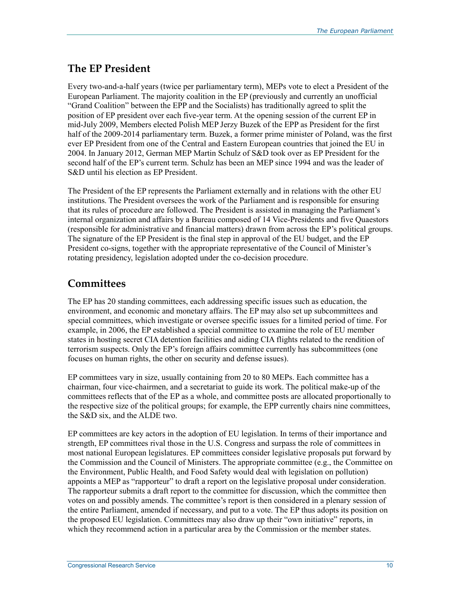## **The EP President**

Every two-and-a-half years (twice per parliamentary term), MEPs vote to elect a President of the European Parliament. The majority coalition in the EP (previously and currently an unofficial "Grand Coalition" between the EPP and the Socialists) has traditionally agreed to split the position of EP president over each five-year term. At the opening session of the current EP in mid-July 2009, Members elected Polish MEP Jerzy Buzek of the EPP as President for the first half of the 2009-2014 parliamentary term. Buzek, a former prime minister of Poland, was the first ever EP President from one of the Central and Eastern European countries that joined the EU in 2004. In January 2012, German MEP Martin Schulz of S&D took over as EP President for the second half of the EP's current term. Schulz has been an MEP since 1994 and was the leader of S&D until his election as EP President.

The President of the EP represents the Parliament externally and in relations with the other EU institutions. The President oversees the work of the Parliament and is responsible for ensuring that its rules of procedure are followed. The President is assisted in managing the Parliament's internal organization and affairs by a Bureau composed of 14 Vice-Presidents and five Quaestors (responsible for administrative and financial matters) drawn from across the EP's political groups. The signature of the EP President is the final step in approval of the EU budget, and the EP President co-signs, together with the appropriate representative of the Council of Minister's rotating presidency, legislation adopted under the co-decision procedure.

## **Committees**

The EP has 20 standing committees, each addressing specific issues such as education, the environment, and economic and monetary affairs. The EP may also set up subcommittees and special committees, which investigate or oversee specific issues for a limited period of time. For example, in 2006, the EP established a special committee to examine the role of EU member states in hosting secret CIA detention facilities and aiding CIA flights related to the rendition of terrorism suspects. Only the EP's foreign affairs committee currently has subcommittees (one focuses on human rights, the other on security and defense issues).

EP committees vary in size, usually containing from 20 to 80 MEPs. Each committee has a chairman, four vice-chairmen, and a secretariat to guide its work. The political make-up of the committees reflects that of the EP as a whole, and committee posts are allocated proportionally to the respective size of the political groups; for example, the EPP currently chairs nine committees, the S&D six, and the ALDE two.

EP committees are key actors in the adoption of EU legislation. In terms of their importance and strength, EP committees rival those in the U.S. Congress and surpass the role of committees in most national European legislatures. EP committees consider legislative proposals put forward by the Commission and the Council of Ministers. The appropriate committee (e.g., the Committee on the Environment, Public Health, and Food Safety would deal with legislation on pollution) appoints a MEP as "rapporteur" to draft a report on the legislative proposal under consideration. The rapporteur submits a draft report to the committee for discussion, which the committee then votes on and possibly amends. The committee's report is then considered in a plenary session of the entire Parliament, amended if necessary, and put to a vote. The EP thus adopts its position on the proposed EU legislation. Committees may also draw up their "own initiative" reports, in which they recommend action in a particular area by the Commission or the member states.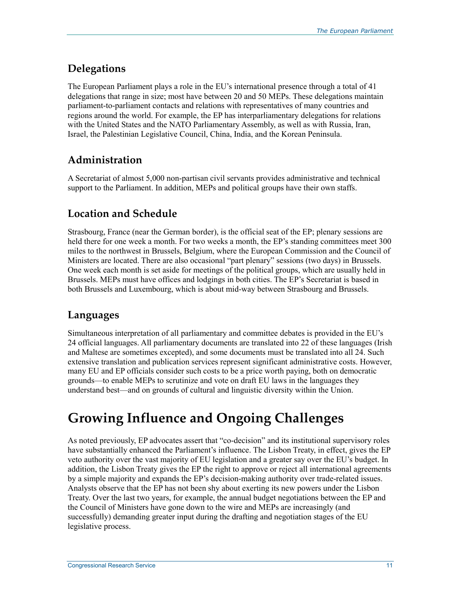## **Delegations**

The European Parliament plays a role in the EU's international presence through a total of 41 delegations that range in size; most have between 20 and 50 MEPs. These delegations maintain parliament-to-parliament contacts and relations with representatives of many countries and regions around the world. For example, the EP has interparliamentary delegations for relations with the United States and the NATO Parliamentary Assembly, as well as with Russia, Iran, Israel, the Palestinian Legislative Council, China, India, and the Korean Peninsula.

## **Administration**

A Secretariat of almost 5,000 non-partisan civil servants provides administrative and technical support to the Parliament. In addition, MEPs and political groups have their own staffs.

## **Location and Schedule**

Strasbourg, France (near the German border), is the official seat of the EP; plenary sessions are held there for one week a month. For two weeks a month, the EP's standing committees meet 300 miles to the northwest in Brussels, Belgium, where the European Commission and the Council of Ministers are located. There are also occasional "part plenary" sessions (two days) in Brussels. One week each month is set aside for meetings of the political groups, which are usually held in Brussels. MEPs must have offices and lodgings in both cities. The EP's Secretariat is based in both Brussels and Luxembourg, which is about mid-way between Strasbourg and Brussels.

## **Languages**

Simultaneous interpretation of all parliamentary and committee debates is provided in the EU's 24 official languages. All parliamentary documents are translated into 22 of these languages (Irish and Maltese are sometimes excepted), and some documents must be translated into all 24. Such extensive translation and publication services represent significant administrative costs. However, many EU and EP officials consider such costs to be a price worth paying, both on democratic grounds—to enable MEPs to scrutinize and vote on draft EU laws in the languages they understand best—and on grounds of cultural and linguistic diversity within the Union.

# **Growing Influence and Ongoing Challenges**

As noted previously, EP advocates assert that "co-decision" and its institutional supervisory roles have substantially enhanced the Parliament's influence. The Lisbon Treaty, in effect, gives the EP veto authority over the vast majority of EU legislation and a greater say over the EU's budget. In addition, the Lisbon Treaty gives the EP the right to approve or reject all international agreements by a simple majority and expands the EP's decision-making authority over trade-related issues. Analysts observe that the EP has not been shy about exerting its new powers under the Lisbon Treaty. Over the last two years, for example, the annual budget negotiations between the EP and the Council of Ministers have gone down to the wire and MEPs are increasingly (and successfully) demanding greater input during the drafting and negotiation stages of the EU legislative process.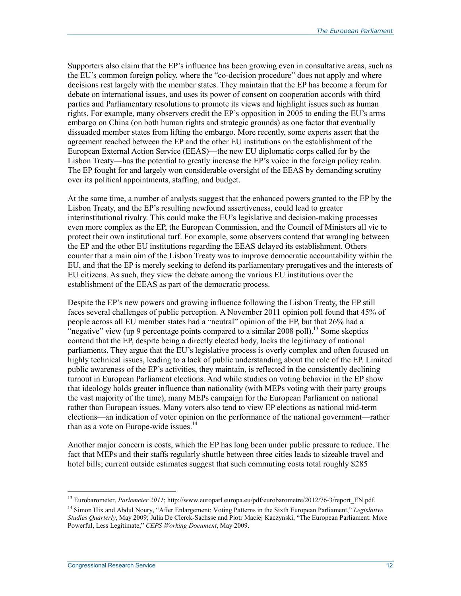Supporters also claim that the EP's influence has been growing even in consultative areas, such as the EU's common foreign policy, where the "co-decision procedure" does not apply and where decisions rest largely with the member states. They maintain that the EP has become a forum for debate on international issues, and uses its power of consent on cooperation accords with third parties and Parliamentary resolutions to promote its views and highlight issues such as human rights. For example, many observers credit the EP's opposition in 2005 to ending the EU's arms embargo on China (on both human rights and strategic grounds) as one factor that eventually dissuaded member states from lifting the embargo. More recently, some experts assert that the agreement reached between the EP and the other EU institutions on the establishment of the European External Action Service (EEAS)—the new EU diplomatic corps called for by the Lisbon Treaty—has the potential to greatly increase the EP's voice in the foreign policy realm. The EP fought for and largely won considerable oversight of the EEAS by demanding scrutiny over its political appointments, staffing, and budget.

At the same time, a number of analysts suggest that the enhanced powers granted to the EP by the Lisbon Treaty, and the EP's resulting newfound assertiveness, could lead to greater interinstitutional rivalry. This could make the EU's legislative and decision-making processes even more complex as the EP, the European Commission, and the Council of Ministers all vie to protect their own institutional turf. For example, some observers contend that wrangling between the EP and the other EU institutions regarding the EEAS delayed its establishment. Others counter that a main aim of the Lisbon Treaty was to improve democratic accountability within the EU, and that the EP is merely seeking to defend its parliamentary prerogatives and the interests of EU citizens. As such, they view the debate among the various EU institutions over the establishment of the EEAS as part of the democratic process.

Despite the EP's new powers and growing influence following the Lisbon Treaty, the EP still faces several challenges of public perception. A November 2011 opinion poll found that 45% of people across all EU member states had a "neutral" opinion of the EP, but that 26% had a "negative" view (up 9 percentage points compared to a similar 2008 poll).<sup>13</sup> Some skeptics contend that the EP, despite being a directly elected body, lacks the legitimacy of national parliaments. They argue that the EU's legislative process is overly complex and often focused on highly technical issues, leading to a lack of public understanding about the role of the EP. Limited public awareness of the EP's activities, they maintain, is reflected in the consistently declining turnout in European Parliament elections. And while studies on voting behavior in the EP show that ideology holds greater influence than nationality (with MEPs voting with their party groups the vast majority of the time), many MEPs campaign for the European Parliament on national rather than European issues. Many voters also tend to view EP elections as national mid-term elections—an indication of voter opinion on the performance of the national government—rather than as a vote on Europe-wide issues. $^{14}$ 

Another major concern is costs, which the EP has long been under public pressure to reduce. The fact that MEPs and their staffs regularly shuttle between three cities leads to sizeable travel and hotel bills; current outside estimates suggest that such commuting costs total roughly \$285

<sup>&</sup>lt;sup>13</sup> Eurobarometer, *Parlemeter 2011*; http://www.europarl.europa.eu/pdf/eurobarometre/2012/76-3/report\_EN.pdf.

<sup>14</sup> Simon Hix and Abdul Noury, "After Enlargement: Voting Patterns in the Sixth European Parliament," *Legislative Studies Quarterly*, May 2009; Julia De Clerck-Sachsse and Piotr Maciej Kaczynski, "The European Parliament: More Powerful, Less Legitimate," *CEPS Working Document*, May 2009.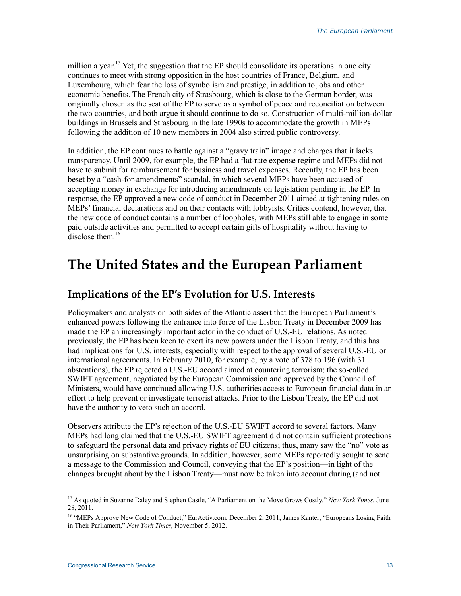million a year.<sup>15</sup> Yet, the suggestion that the EP should consolidate its operations in one city continues to meet with strong opposition in the host countries of France, Belgium, and Luxembourg, which fear the loss of symbolism and prestige, in addition to jobs and other economic benefits. The French city of Strasbourg, which is close to the German border, was originally chosen as the seat of the EP to serve as a symbol of peace and reconciliation between the two countries, and both argue it should continue to do so. Construction of multi-million-dollar buildings in Brussels and Strasbourg in the late 1990s to accommodate the growth in MEPs following the addition of 10 new members in 2004 also stirred public controversy.

In addition, the EP continues to battle against a "gravy train" image and charges that it lacks transparency. Until 2009, for example, the EP had a flat-rate expense regime and MEPs did not have to submit for reimbursement for business and travel expenses. Recently, the EP has been beset by a "cash-for-amendments" scandal, in which several MEPs have been accused of accepting money in exchange for introducing amendments on legislation pending in the EP. In response, the EP approved a new code of conduct in December 2011 aimed at tightening rules on MEPs' financial declarations and on their contacts with lobbyists. Critics contend, however, that the new code of conduct contains a number of loopholes, with MEPs still able to engage in some paid outside activities and permitted to accept certain gifts of hospitality without having to  $\hat{d}$  disclose them  $^{16}$ 

## **The United States and the European Parliament**

### **Implications of the EP's Evolution for U.S. Interests**

Policymakers and analysts on both sides of the Atlantic assert that the European Parliament's enhanced powers following the entrance into force of the Lisbon Treaty in December 2009 has made the EP an increasingly important actor in the conduct of U.S.-EU relations. As noted previously, the EP has been keen to exert its new powers under the Lisbon Treaty, and this has had implications for U.S. interests, especially with respect to the approval of several U.S.-EU or international agreements. In February 2010, for example, by a vote of 378 to 196 (with 31 abstentions), the EP rejected a U.S.-EU accord aimed at countering terrorism; the so-called SWIFT agreement, negotiated by the European Commission and approved by the Council of Ministers, would have continued allowing U.S. authorities access to European financial data in an effort to help prevent or investigate terrorist attacks. Prior to the Lisbon Treaty, the EP did not have the authority to veto such an accord.

Observers attribute the EP's rejection of the U.S.-EU SWIFT accord to several factors. Many MEPs had long claimed that the U.S.-EU SWIFT agreement did not contain sufficient protections to safeguard the personal data and privacy rights of EU citizens; thus, many saw the "no" vote as unsurprising on substantive grounds. In addition, however, some MEPs reportedly sought to send a message to the Commission and Council, conveying that the EP's position—in light of the changes brought about by the Lisbon Treaty—must now be taken into account during (and not

<sup>15</sup> As quoted in Suzanne Daley and Stephen Castle, "A Parliament on the Move Grows Costly," *New York Times*, June 28, 2011.

<sup>&</sup>lt;sup>16</sup> "MEPs Approve New Code of Conduct," EurActiv.com, December 2, 2011; James Kanter, "Europeans Losing Faith in Their Parliament," *New York Times*, November 5, 2012.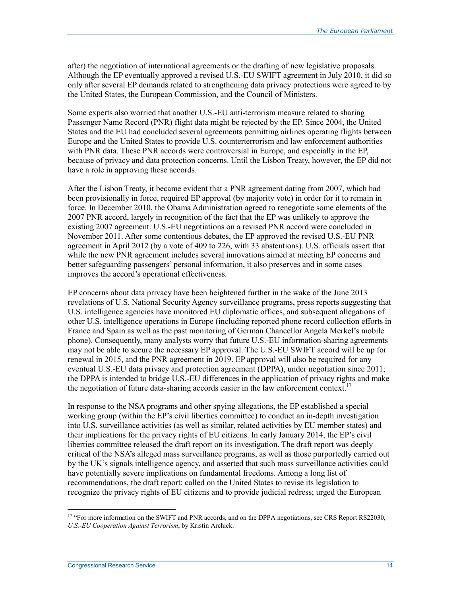after) the negotiation of international agreements or the drafting of new legislative proposals. Although the EP eventually approved a revised U.S.-EU SWIFT agreement in July 2010, it did so only after several EP demands related to strengthening data privacy protections were agreed to by the United States, the European Commission, and the Council of Ministers.

Some experts also worried that another U.S.-EU anti-terrorism measure related to sharing Passenger Name Record (PNR) flight data might be rejected by the EP. Since 2004, the United States and the EU had concluded several agreements permitting airlines operating flights between Europe and the United States to provide U.S. counterterrorism and law enforcement authorities with PNR data. These PNR accords were controversial in Europe, and especially in the EP, because of privacy and data protection concerns. Until the Lisbon Treaty, however, the EP did not have a role in approving these accords.

After the Lisbon Treaty, it became evident that a PNR agreement dating from 2007, which had been provisionally in force, required EP approval (by majority vote) in order for it to remain in force. In December 2010, the Obama Administration agreed to renegotiate some elements of the 2007 PNR accord, largely in recognition of the fact that the EP was unlikely to approve the existing 2007 agreement. U.S.-EU negotiations on a revised PNR accord were concluded in November 2011. After some contentious debates, the EP approved the revised U.S.-EU PNR agreement in April 2012 (by a vote of 409 to 226, with 33 abstentions). U.S. officials assert that while the new PNR agreement includes several innovations aimed at meeting EP concerns and better safeguarding passengers' personal information, it also preserves and in some cases improves the accord's operational effectiveness.

EP concerns about data privacy have been heightened further in the wake of the June 2013 revelations of U.S. National Security Agency surveillance programs, press reports suggesting that U.S. intelligence agencies have monitored EU diplomatic offices, and subsequent allegations of other U.S. intelligence operations in Europe (including reported phone record collection efforts in France and Spain as well as the past monitoring of German Chancellor Angela Merkel's mobile phone). Consequently, many analysts worry that future U.S.-EU information-sharing agreements may not be able to secure the necessary EP approval. The U.S.-EU SWIFT accord will be up for renewal in 2015, and the PNR agreement in 2019. EP approval will also be required for any eventual U.S.-EU data privacy and protection agreement (DPPA), under negotiation since 2011; the DPPA is intended to bridge U.S.-EU differences in the application of privacy rights and make the negotiation of future data-sharing accords easier in the law enforcement context.<sup>17</sup>

In response to the NSA programs and other spying allegations, the EP established a special working group (within the EP's civil liberties committee) to conduct an in-depth investigation into U.S. surveillance activities (as well as similar, related activities by EU member states) and their implications for the privacy rights of EU citizens. In early January 2014, the EP's civil liberties committee released the draft report on its investigation. The draft report was deeply critical of the NSA's alleged mass surveillance programs, as well as those purportedly carried out by the UK's signals intelligence agency, and asserted that such mass surveillance activities could have potentially severe implications on fundamental freedoms. Among a long list of recommendations, the draft report: called on the United States to revise its legislation to recognize the privacy rights of EU citizens and to provide judicial redress; urged the European

<sup>&</sup>lt;sup>17</sup> "For more information on the SWIFT and PNR accords, and on the DPPA negotiations, see CRS Report RS22030, *U.S.-EU Cooperation Against Terrorism*, by Kristin Archick.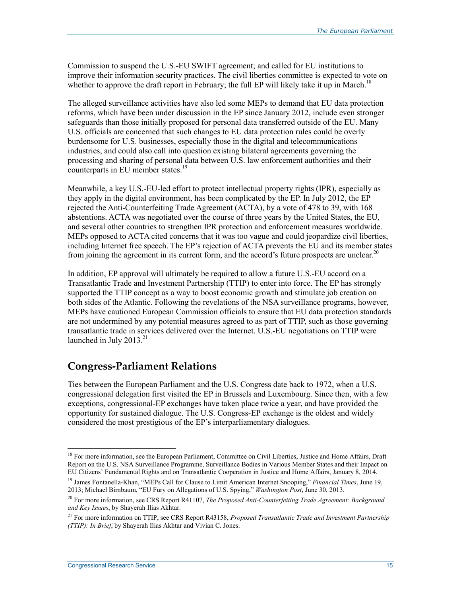Commission to suspend the U.S.-EU SWIFT agreement; and called for EU institutions to improve their information security practices. The civil liberties committee is expected to vote on whether to approve the draft report in February; the full EP will likely take it up in March.<sup>18</sup>

The alleged surveillance activities have also led some MEPs to demand that EU data protection reforms, which have been under discussion in the EP since January 2012, include even stronger safeguards than those initially proposed for personal data transferred outside of the EU. Many U.S. officials are concerned that such changes to EU data protection rules could be overly burdensome for U.S. businesses, especially those in the digital and telecommunications industries, and could also call into question existing bilateral agreements governing the processing and sharing of personal data between U.S. law enforcement authorities and their counterparts in EU member states.<sup>19</sup>

Meanwhile, a key U.S.-EU-led effort to protect intellectual property rights (IPR), especially as they apply in the digital environment, has been complicated by the EP. In July 2012, the EP rejected the Anti-Counterfeiting Trade Agreement (ACTA), by a vote of 478 to 39, with 168 abstentions. ACTA was negotiated over the course of three years by the United States, the EU, and several other countries to strengthen IPR protection and enforcement measures worldwide. MEPs opposed to ACTA cited concerns that it was too vague and could jeopardize civil liberties, including Internet free speech. The EP's rejection of ACTA prevents the EU and its member states from joining the agreement in its current form, and the accord's future prospects are unclear.<sup>20</sup>

In addition, EP approval will ultimately be required to allow a future U.S.-EU accord on a Transatlantic Trade and Investment Partnership (TTIP) to enter into force. The EP has strongly supported the TTIP concept as a way to boost economic growth and stimulate job creation on both sides of the Atlantic. Following the revelations of the NSA surveillance programs, however, MEPs have cautioned European Commission officials to ensure that EU data protection standards are not undermined by any potential measures agreed to as part of TTIP, such as those governing transatlantic trade in services delivered over the Internet. U.S.-EU negotiations on TTIP were launched in July  $2013.<sup>21</sup>$ 

### **Congress-Parliament Relations**

Ties between the European Parliament and the U.S. Congress date back to 1972, when a U.S. congressional delegation first visited the EP in Brussels and Luxembourg. Since then, with a few exceptions, congressional-EP exchanges have taken place twice a year, and have provided the opportunity for sustained dialogue. The U.S. Congress-EP exchange is the oldest and widely considered the most prestigious of the EP's interparliamentary dialogues.

<sup>&</sup>lt;sup>18</sup> For more information, see the European Parliament, Committee on Civil Liberties, Justice and Home Affairs, Draft Report on the U.S. NSA Surveillance Programme, Surveillance Bodies in Various Member States and their Impact on EU Citizens' Fundamental Rights and on Transatlantic Cooperation in Justice and Home Affairs, January 8, 2014.

<sup>19</sup> James Fontanella-Khan, "MEPs Call for Clause to Limit American Internet Snooping," *Financial Times*, June 19, 2013; Michael Birnbaum, "EU Fury on Allegations of U.S. Spying," *Washington Post*, June 30, 2013.

<sup>20</sup> For more information, see CRS Report R41107, *The Proposed Anti-Counterfeiting Trade Agreement: Background and Key Issues*, by Shayerah Ilias Akhtar.

<sup>21</sup> For more information on TTIP, see CRS Report R43158, *Proposed Transatlantic Trade and Investment Partnership (TTIP): In Brief*, by Shayerah Ilias Akhtar and Vivian C. Jones.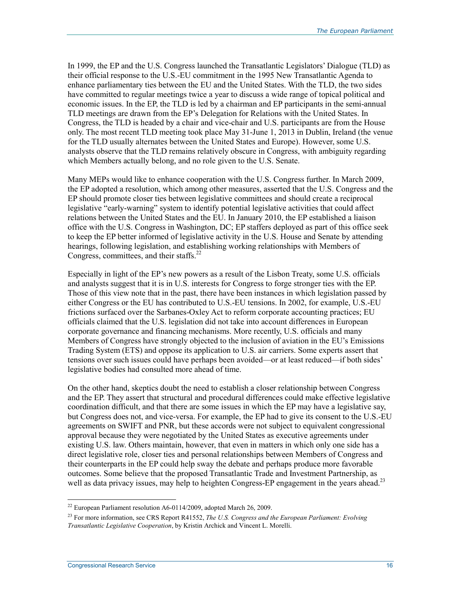In 1999, the EP and the U.S. Congress launched the Transatlantic Legislators' Dialogue (TLD) as their official response to the U.S.-EU commitment in the 1995 New Transatlantic Agenda to enhance parliamentary ties between the EU and the United States. With the TLD, the two sides have committed to regular meetings twice a year to discuss a wide range of topical political and economic issues. In the EP, the TLD is led by a chairman and EP participants in the semi-annual TLD meetings are drawn from the EP's Delegation for Relations with the United States. In Congress, the TLD is headed by a chair and vice-chair and U.S. participants are from the House only. The most recent TLD meeting took place May 31-June 1, 2013 in Dublin, Ireland (the venue for the TLD usually alternates between the United States and Europe). However, some U.S. analysts observe that the TLD remains relatively obscure in Congress, with ambiguity regarding which Members actually belong, and no role given to the U.S. Senate.

Many MEPs would like to enhance cooperation with the U.S. Congress further. In March 2009, the EP adopted a resolution, which among other measures, asserted that the U.S. Congress and the EP should promote closer ties between legislative committees and should create a reciprocal legislative "early-warning" system to identify potential legislative activities that could affect relations between the United States and the EU. In January 2010, the EP established a liaison office with the U.S. Congress in Washington, DC; EP staffers deployed as part of this office seek to keep the EP better informed of legislative activity in the U.S. House and Senate by attending hearings, following legislation, and establishing working relationships with Members of Congress, committees, and their staffs. $^{22}$ 

Especially in light of the EP's new powers as a result of the Lisbon Treaty, some U.S. officials and analysts suggest that it is in U.S. interests for Congress to forge stronger ties with the EP. Those of this view note that in the past, there have been instances in which legislation passed by either Congress or the EU has contributed to U.S.-EU tensions. In 2002, for example, U.S.-EU frictions surfaced over the Sarbanes-Oxley Act to reform corporate accounting practices; EU officials claimed that the U.S. legislation did not take into account differences in European corporate governance and financing mechanisms. More recently, U.S. officials and many Members of Congress have strongly objected to the inclusion of aviation in the EU's Emissions Trading System (ETS) and oppose its application to U.S. air carriers. Some experts assert that tensions over such issues could have perhaps been avoided—or at least reduced—if both sides' legislative bodies had consulted more ahead of time.

On the other hand, skeptics doubt the need to establish a closer relationship between Congress and the EP. They assert that structural and procedural differences could make effective legislative coordination difficult, and that there are some issues in which the EP may have a legislative say, but Congress does not, and vice-versa. For example, the EP had to give its consent to the U.S.-EU agreements on SWIFT and PNR, but these accords were not subject to equivalent congressional approval because they were negotiated by the United States as executive agreements under existing U.S. law. Others maintain, however, that even in matters in which only one side has a direct legislative role, closer ties and personal relationships between Members of Congress and their counterparts in the EP could help sway the debate and perhaps produce more favorable outcomes. Some believe that the proposed Transatlantic Trade and Investment Partnership, as well as data privacy issues, may help to heighten Congress-EP engagement in the years ahead.<sup>23</sup>

 $22$  European Parliament resolution A6-0114/2009, adopted March 26, 2009.

<sup>23</sup> For more information, see CRS Report R41552, *The U.S. Congress and the European Parliament: Evolving Transatlantic Legislative Cooperation*, by Kristin Archick and Vincent L. Morelli.